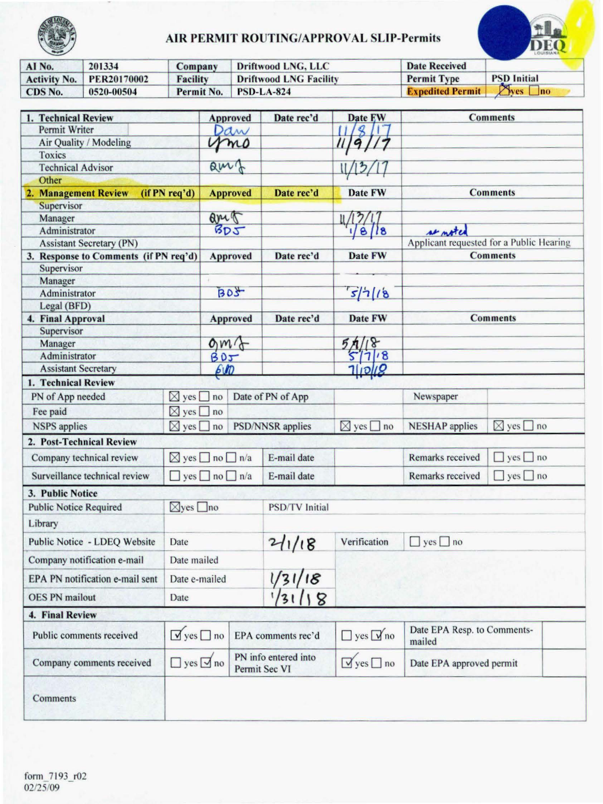

# AIR PERMIT ROUTING/APPROVAL SLIP-Permits

|                     |             | AIR PERMIT ROUTING/APPROVAL SLIP-Permits |                               |                         |                         |  |  |  |  |
|---------------------|-------------|------------------------------------------|-------------------------------|-------------------------|-------------------------|--|--|--|--|
| AI No.              | 201334      | Company                                  | Driftwood LNG, LLC            | <b>Date Received</b>    |                         |  |  |  |  |
| <b>Activity No.</b> | PER20170002 | <b>Facility</b>                          | <b>Driftwood LNG Facility</b> | <b>Permit Type</b>      | <b>PSD</b> Initial      |  |  |  |  |
| CDS No.             | 0520-00504  | Permit No.                               | <b>PSD-LA-824</b>             | <b>Expedited Permit</b> | P <sub>yes</sub><br> no |  |  |  |  |

| 1. Technical Review                   |                                      | <b>Approved</b><br>Date rec'd |    | Date FW                               |                           | <b>Comments</b>                       |                                          |
|---------------------------------------|--------------------------------------|-------------------------------|----|---------------------------------------|---------------------------|---------------------------------------|------------------------------------------|
| <b>Permit Writer</b>                  |                                      | Daw                           |    |                                       |                           |                                       |                                          |
| Air Quality / Modeling                |                                      |                               | mo |                                       |                           |                                       |                                          |
| <b>Toxics</b>                         |                                      |                               |    |                                       |                           |                                       |                                          |
| <b>Technical Advisor</b>              |                                      | amb                           |    |                                       |                           |                                       |                                          |
| Other                                 |                                      |                               |    |                                       |                           |                                       |                                          |
| 2. Management Review                  | (if PN req'd)                        | <b>Approved</b>               |    | Date rec'd                            | Date FW                   |                                       | <b>Comments</b>                          |
| Supervisor                            |                                      |                               |    |                                       |                           |                                       |                                          |
| Manager                               |                                      | aret                          |    |                                       |                           |                                       |                                          |
| Administrator                         |                                      | BDT                           |    |                                       | 1/8/8                     | we noted                              |                                          |
| <b>Assistant Secretary (PN)</b>       |                                      |                               |    |                                       |                           |                                       | Applicant requested for a Public Hearing |
| 3. Response to Comments (if PN req'd) |                                      | <b>Approved</b>               |    | Date rec'd                            | Date FW                   |                                       | <b>Comments</b>                          |
| Supervisor                            |                                      |                               |    |                                       |                           |                                       |                                          |
| Manager                               |                                      | a.                            |    |                                       |                           |                                       |                                          |
| Administrator                         |                                      | BD3                           |    |                                       | s/7/8                     |                                       |                                          |
| Legal (BFD)                           |                                      |                               |    |                                       |                           |                                       |                                          |
| 4. Final Approval                     |                                      | Approved                      |    | Date rec'd                            | Date FW                   |                                       | <b>Comments</b>                          |
| Supervisor                            |                                      |                               |    |                                       |                           |                                       |                                          |
| Manager                               |                                      | $\alpha m$                    |    |                                       | $4/18$<br>5/7/18          |                                       |                                          |
| Administrator                         |                                      | B0J                           |    |                                       |                           |                                       |                                          |
| <b>Assistant Secretary</b>            |                                      | 600                           |    |                                       | <b>Tliolig</b>            |                                       |                                          |
| 1. Technical Review                   |                                      |                               |    |                                       |                           |                                       |                                          |
| PN of App needed                      | $\boxtimes$ yes $\Box$ no            | Date of PN of App             |    |                                       |                           | Newspaper                             |                                          |
| Fee paid                              | $\boxtimes$ yes $\square$ no         |                               |    |                                       |                           |                                       |                                          |
| <b>NSPS</b> applies                   |                                      | $\boxtimes$ yes $\Box$ no     |    | <b>PSD/NNSR</b> applies               | $\boxtimes$ yes $\Box$ no | <b>NESHAP</b> applies                 | $\boxtimes$ yes $\square$ no             |
| 2. Post-Technical Review              |                                      |                               |    |                                       |                           |                                       |                                          |
| Company technical review              | $\boxtimes$ yes $\Box$ no $\Box$ n/a |                               |    | E-mail date                           |                           | Remarks received                      | $\Box$ yes $\Box$ no                     |
| Surveillance technical review         | $\Box$ yes $\Box$ no $\Box$ n/a      |                               |    | E-mail date                           |                           | Remarks received                      | $\Box$ yes $\Box$ no                     |
| 3. Public Notice                      |                                      |                               |    |                                       |                           |                                       |                                          |
| <b>Public Notice Required</b>         | $\boxtimes$ yes $\Box$ no            |                               |    | <b>PSD/TV</b> Initial                 |                           |                                       |                                          |
| Library                               |                                      |                               |    |                                       |                           |                                       |                                          |
| Public Notice - LDEQ Website          | Date                                 |                               |    | 211/18                                | Verification              | $\Box$ yes $\Box$ no                  |                                          |
| Company notification e-mail           | Date mailed                          |                               |    |                                       |                           |                                       |                                          |
| EPA PN notification e-mail sent       | Date e-mailed                        |                               |    |                                       |                           |                                       |                                          |
| <b>OES PN</b> mailout                 | Date                                 |                               |    | $\frac{1}{31/18}$                     |                           |                                       |                                          |
| 4. Final Review                       |                                      |                               |    |                                       |                           |                                       |                                          |
| Public comments received              | $\sqrt{y}$ yes $\Box$ no             |                               |    | EPA comments rec'd                    | $\Box$ yes $\Box$ no      | Date EPA Resp. to Comments-<br>mailed |                                          |
| Company comments received             | $\Box$ yes $\Box$ no                 |                               |    | PN info entered into<br>Permit Sec VI | $\sqrt{y}$ yes $\Box$ no  | Date EPA approved permit              |                                          |
| Comments                              |                                      |                               |    |                                       |                           |                                       |                                          |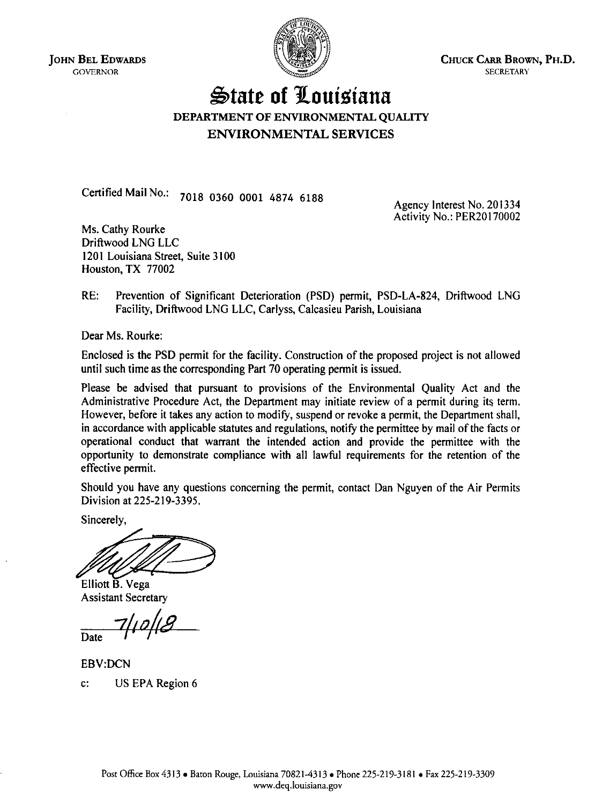JOHN BEL EDWARDS GOVERNOR



CHUCK CARR BROWN, PH.D. SECRETARY

# ~tate **of 1louisiana**  DEPARTMENT OF ENVIRONMENTAL QUALITY ENVIRONMENTAL SERVICES

Certified Mail No.: 7018 0360 0001 4874 6188

Agency Interest No. 201334 Activity No.: PER20170002

Ms. Cathy Rourke Driftwood LNG LLC 1201 Louisiana Street, Suite 3100 Houston, TX 77002

RE: Prevention of Significant Deterioration (PSD) permit, PSD-LA-824, Driftwood LNG Facility, Driftwood LNG LLC, Carlyss, Calcasieu Parish, Louisiana

Dear Ms. Rourke:

Enclosed is the PSD permit for the facility. Construction of the proposed project is not allowed until such time as the corresponding Part 70 operating permit is issued.

Please be advised that pursuant to provisions of the Environmental Quality Act and the Administrative Procedure Act, the Department may initiate review of a permit during its term. However, before it takes any action to modify, suspend or revoke a permit, the Department shall, in accordance with applicable statutes and regulations, notify the permittee by mail of the facts or operational conduct that warrant the intended action and provide the permittee with the opportunity to demonstrate compliance with all lawful requirements for the retention of the effective permit.

Should you have any questions concerning the permit, contact Dan Nguyen of the Air Permits Division at 225-219-3395.

Sincerely,

Elliott B. Vega

Assistant Secretary

 $\overline{a}$  Date

EBV:DCN c: US EPA Region 6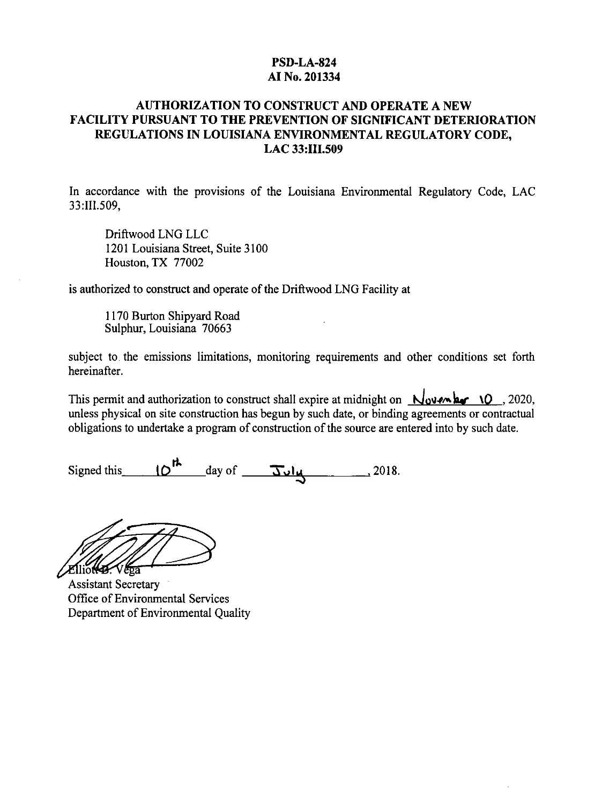# **PSD-LA-824 AI No. 201334**

# **AUTHORIZATION TO CONSTRUCT AND OPERATE A NEW FACILITY PURSUANT TO THE PREVENTION OF SIGNIFICANT DETERIORATION REGULATIONS IN LOUISIANA ENVIRONMENTAL REGULATORY CODE, LAC 33:III.509**

In accordance with the provisions of the Louisiana Environmental Regulatory Code, LAC 33:111.509,

Driftwood LNG LLC 1201 Louisiana Street, Suite 3100 Houston, TX 77002

is authorized to construct and operate of the Driftwood LNG Facility at

1170 Burton Shipyard Road Sulphur, Louisiana 70663

subject to. the emissions limitations, monitoring requirements and other conditions set forth hereinafter.

This permit and authorization to construct shall expire at midnight on  $\sqrt{\omega}$  **Noven har** *l*. 2020, unless physical on site construction has begun by such date, or binding agreements or contractual obligations to undertake a program of construction of the source are entered into by such date.

Signed this  $10^{th}$  day of  $\overline{3u}u$ , 2018.

Elliotte Vega

Assistant Secretary Office of Environmental Services Department of Environmental Quality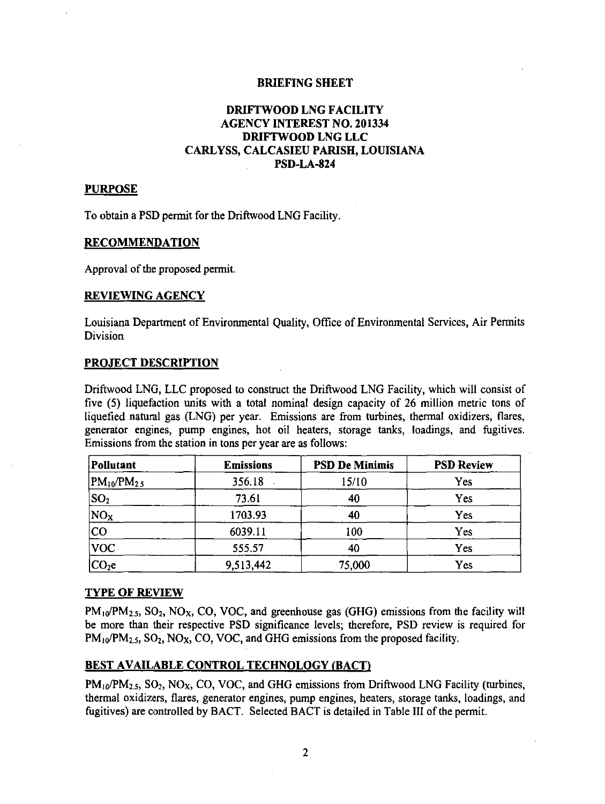### BRIEFING SHEET

# DRIFTWOOD LNG FACILITY AGENCY INTEREST NO. 201334 DRIFTWOOD LNG LLC CARLYSS, CALCASIEU PARISH, LOUISIANA PSD-LA-824

# PURPOSE

To obtain a PSD permit for the Driftwood LNG Facility.

### RECOMMENDATION

Approval of the proposed permit.

### REVIEWING AGENCY

Louisiana Department of Environmental Quality, Office of Environmental Services, Air Permits Division

### PROJECT DESCRIPTION

Driftwood LNG, LLC proposed to construct the Driftwood LNG Facility, which will consist of five (5) liquefaction units with a total nominal design capacity of 26 million metric tons of liquefied natural gas (LNG) per year. Emissions are from turbines, thermal oxidizers, flares, generator engines, pump engines, hot oil heaters, storage tanks, loadings, and fugitives. Emissions from the station in tons per year are as follows:

| Pollutant               | <b>Emissions</b> | <b>PSD De Minimis</b> | <b>PSD Review</b> |
|-------------------------|------------------|-----------------------|-------------------|
| $\rm PM_{10}/PM_{2.5} $ | 356.18           | 15/10                 | Yes               |
| $ SO_2 $                | 73.61            | 40                    | Yes               |
| NO <sub>x</sub>         | 1703.93          | 40                    | Yes               |
| <b>CO</b>               | 6039.11          | 100                   | Yes               |
| VOC                     | 555.57           | 40                    | Yes               |
| $ CO_2e $               | 9,513,442        | 75,000                | Yes               |

### TYPE OF REVIEW

 $PM_{10}/PM_{2.5}$ , SO<sub>2</sub>, NO<sub>X</sub>, CO, VOC, and greenhouse gas (GHG) emissions from the facility will be more than their respective PSD significance levels; therefore, PSD review is required for  $PM_{10}/PM_{2.5}$ ,  $SO_2$ ,  $NO_X$ ,  $CO$ ,  $VOC$ , and GHG emissions from the proposed facility.

### BEST AVAILABLE CONTROL TECHNOLOGY (BACT)

 $PM_{10}/PM_{2.5}$ , SO<sub>2</sub>, NO<sub>X</sub>, CO, VOC, and GHG emissions from Driftwood LNG Facility (turbines, thermal oxidizers, flares, generator engines, pump engines, heaters, storage tanks, loadings, and fugitives) are controlled by BACT. Selected BACT is detailed in Table III of the permit.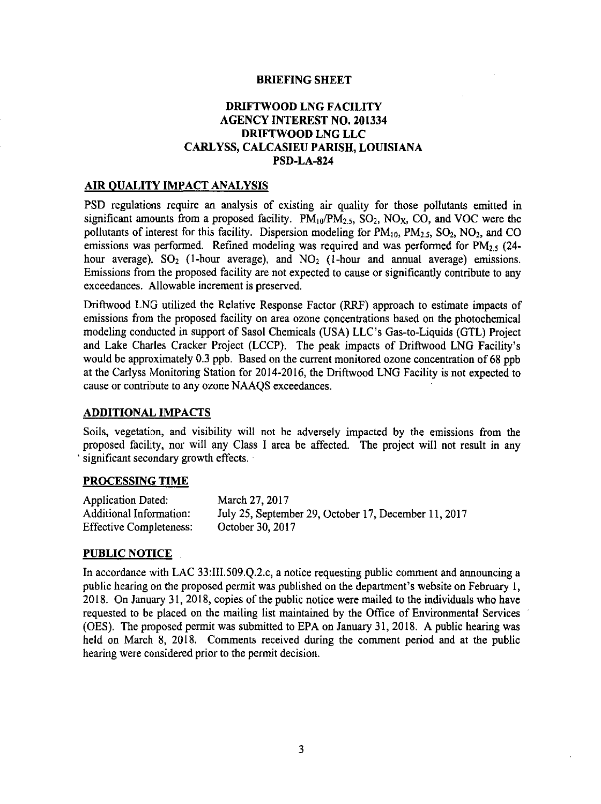### BRIEFING SHEET

# DRIFTWOOD LNG FACILITY AGENCY INTEREST NO. 201334 DRIFTWOOD LNG LLC CARLYSS, CALCASIEU PARISH, LOUISIANA PSD-LA-824

### AIR QUALITY IMPACT ANALYSIS

PSD regulations require an analysis of existing air quality for those pollutants emitted in significant amounts from a proposed facility.  $PM_{10}/PM_{2.5}$ ,  $SO_2$ ,  $NO_X$ ,  $CO$ , and  $VOC$  were the pollutants of interest for this facility. Dispersion modeling for  $PM_{10}$ ,  $PM_{2.5}$ ,  $SO_2$ ,  $NO_2$ , and CO emissions was performed. Refined modeling was required and was performed for  $PM_{2.5}$  (24. hour average),  $SO_2$  (1-hour average), and  $NO_2$  (1-hour and annual average) emissions. Emissions from the proposed facility are not expected to cause or significantly contribute to any exceedances. Allowable increment is preserved.

Driftwood LNG utilized the Relative Response Factor (RRF) approach to estimate impacts of emissions from the proposed facility on area ozone concentrations based on the photochemical modeling conducted in support of Sasol Chemicals (USA) LLC's Gas-to-Liquids (GIL) Project and Lake Charles Cracker Project (LCCP). The peak impacts of Driftwood LNG Facility's would be approximately 0.3 ppb. Based on the current monitored ozone concentration of 68 ppb at the Carlyss Monitoring Station for 2014-2016, the Driftwood LNG Facility is not expected to cause or contribute to any ozone NAAQS exceedances.

### ADDITIONAL IMPACTS

Soils, vegetation, and visibility will not be adversely impacted by the emissions from the proposed facility, nor will any Class I area be affected. The project will not result in any significant secondary growth effects.

### PROCESSING TIME

| <b>Application Dated:</b>      | March 27, 2017                                       |
|--------------------------------|------------------------------------------------------|
| Additional Information:        | July 25, September 29, October 17, December 11, 2017 |
| <b>Effective Completeness:</b> | October 30, 2017                                     |

### PUBLIC NOTICE

In accordance with LAC 33:IIl.509.Q.2.c, a notice requesting public comment and announcing a public hearing *on* the proposed permit was published on the department's website on February 1, 2018. On January 31, 2018, copies of the public notice were mailed to the individuals who have requested to be placed on the mailing list maintained by the Office of Environmental Services (OES). The proposed permit was submitted to EPA on January 31, 2018. A public hearing was held on March 8, 2018. Comments received during the comment period and at the public hearing were considered prior to the permit decision.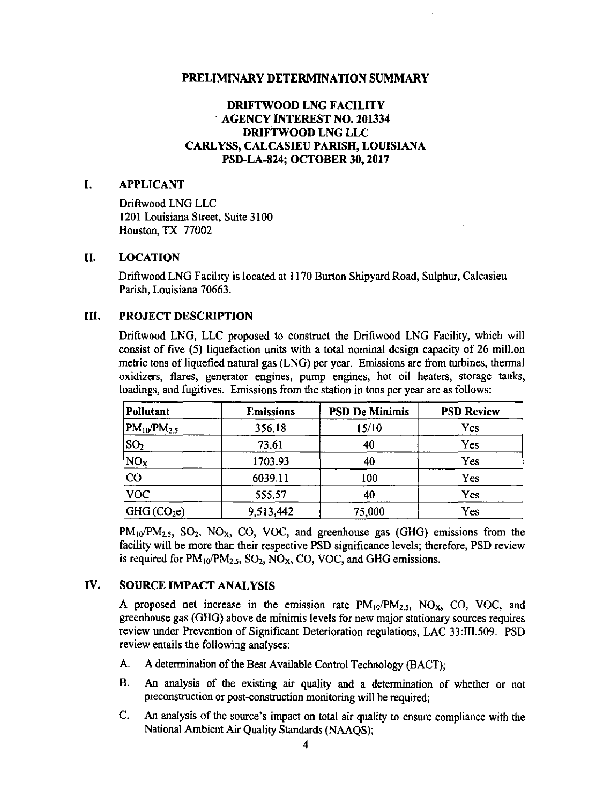# DRIFTWOOD LNG FACILITY · AGENCY INTEREST NO. 201334 DRIFTWOOD LNG LLC CARL YSS, CALCASIEU PARISH, LOUISIANA PSD-LA-824; OCTOBER 30, 2017

# I. APPLICANT

Driftwood LNG LLC 1201 Louisiana Street, Suite 3100 Houston, TX 77002

### II. LOCATION

Driftwood LNG Facility is located at 1170 Burton Shipyard Road, Sulphur, Calcasieu Parish, Louisiana 70663.

# III. PROJECT DESCRIPTION

Driftwood LNG, LLC proposed to construct the Driftwood LNG Facility, which will consist of five (5) liquefaction units with a total nominal design capacity of 26 million metric tons of liquefied natural gas (LNG) per year. Emissions are from turbines, thermal oxidizers, flares, generator engines, pump engines, hot oil heaters, storage tanks, loadings, and fugitives. Emissions from the station in tons per year are as follows:

| Pollutant            | <b>Emissions</b> | <b>PSD De Minimis</b> | <b>PSD Review</b> |
|----------------------|------------------|-----------------------|-------------------|
| $ PM_{10}/PM_{2.5} $ | 356.18           | 15/10                 | Yes               |
| $ SO_2 $             | 73.61            | 40                    | Yes               |
| $NO_X$               | 1703.93          | 40                    | Yes               |
| CO                   | 6039.11          | 100                   | Yes               |
| $ {\rm voc} $        | 555.57           | 40                    | Yes               |
| $ GHG(CO_2e) $       | 9,513,442        | 75,000                | Yes               |

 $PM_{10}/PM_{2.5}$ ,  $SO_2$ ,  $NO_X$ ,  $CO$ ,  $VOC$ , and greenhouse gas (GHG) emissions from the facility will be more than their respective PSD significance levels; therefore, PSD review is required for  $PM_{10}/PM_{2.5}$ ,  $SO_2$ ,  $NO_X$ ,  $CO$ ,  $VOC$ , and GHG emissions.

# IV. SOURCE IMPACT ANALYSIS

A proposed net increase in the emission rate  $PM_{10}/PM_{2.5}$ , NO<sub>x</sub>, CO, VOC, and greenhouse gas (GHG) above de minimis levels for new major stationary sources requires review under Prevention of Significant Deterioration regulations, LAC 33:III.509. PSD review entails the following analyses:

- A. A determination of the Best Available Control Technology (BACT);
- B. An analysis of the existing air quality and a determination of whether or not preconstruction or post-construction monitoring will be required;
- C. An analysis of the source's impact on total air quality to ensure compliance with the National Ambient Air Quality Standards (NAAQS);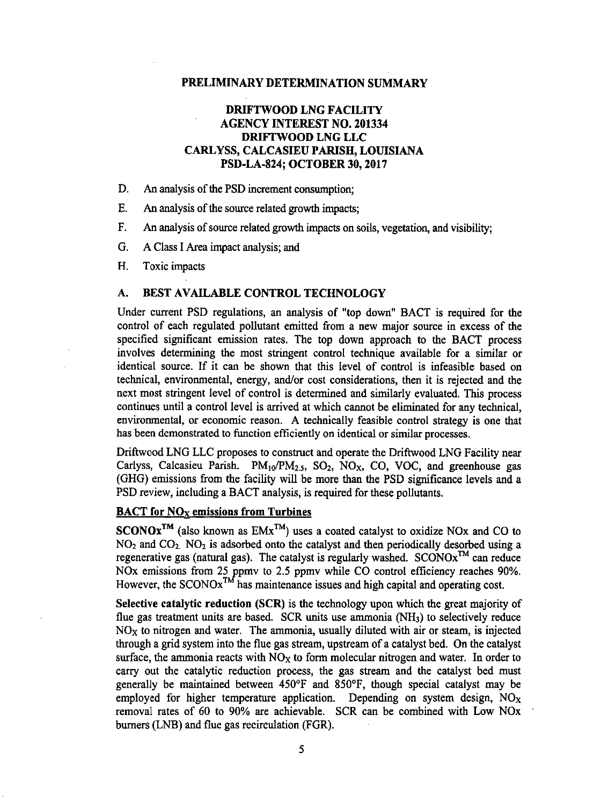# DRIFTWOOD LNG FACILITY AGENCY INTEREST NO. 201334 DRIFTWOOD LNG LLC CARLYSS, CALCASIEU PARISH, LOUISIANA PSD-LA-824; OCTOBER 30, 2017

- D. An analysis of the PSD increment consumption;
- E. An analysis of the source related growth impacts;
- F. An analysis of source related growth impacts on soils, vegetation, and visibility;
- G. A Class I Area impact analysis; and
- H. Toxic impacts

# A. BEST AVAILABLE CONTROL TECHNOLOGY

Under current PSD regulations, an analysis of "top down" BACT is required for the control of each regulated pollutant emitted from a new major source in excess of the specified significant emission rates. The top down approach to the BACT process involves determining the most stringent control technique available for a similar or identical source. If it can be shown that this level of control is infeasible based on technical, environmental, energy, and/or cost considerations, then it is rejected and the next most stringent level of control is determined and similarly evaluated. This process continues until a control level is arrived at which cannot be eliminated for any technical, environmental, or economic reason. A technically feasible control strategy is one that has been demonstrated to function efficiently on identical or similar processes.

Driftwood LNG LLC proposes to construct and operate the Driftwood LNG Facility near Carlyss, Calcasieu Parish.  $PM_{10}/PM_{2.5}$ , SO<sub>2</sub>, NO<sub>x</sub>, CO, VOC, and greenhouse gas (GHG) emissions from the facility will be more than the PSD significance levels and a PSD review, including a BACT analysis, is required for these pollutants.

# **BACT** for  $NO<sub>x</sub>$  emissions from Turbines

 $SCONOx^{TM}$  (also known as  $EMx^{TM}$ ) uses a coated catalyst to oxidize NOx and CO to  $NO<sub>2</sub>$  and  $CO<sub>2</sub>$ . NO<sub>2</sub> is adsorbed onto the catalyst and then periodically desorbed using a regenerative gas (natural gas). The catalyst is regularly washed.  $SCONOx^{TM}$  can reduce NOx emissions from 25 ppmv to 2.5 ppmv while CO control efficiency reaches 90%. However, the  $SCONOx^{TM}$  has maintenance issues and high capital and operating cost.

Selective catalytic reduction (SCR) is the technology upon which the great majority of flue gas treatment units are based. SCR units use ammonia  $(NH<sub>3</sub>)$  to selectively reduce  $NO<sub>x</sub>$  to nitrogen and water. The ammonia, usually diluted with air or steam, is injected through a grid system into the flue gas stream, upstream of a catalyst bed. On the catalyst surface, the ammonia reacts with  $NO<sub>X</sub>$  to form molecular nitrogen and water. In order to carry out the catalytic reduction process, the gas stream and the catalyst bed must generally be maintained between 450°F and 850°F, though special catalyst may be employed for higher temperature application. Depending on system design,  $NO<sub>x</sub>$ removal rates of 60 to 90% are achievable. SCR can be combined with Low NOx burners (LNB) and flue gas recirculation (FGR).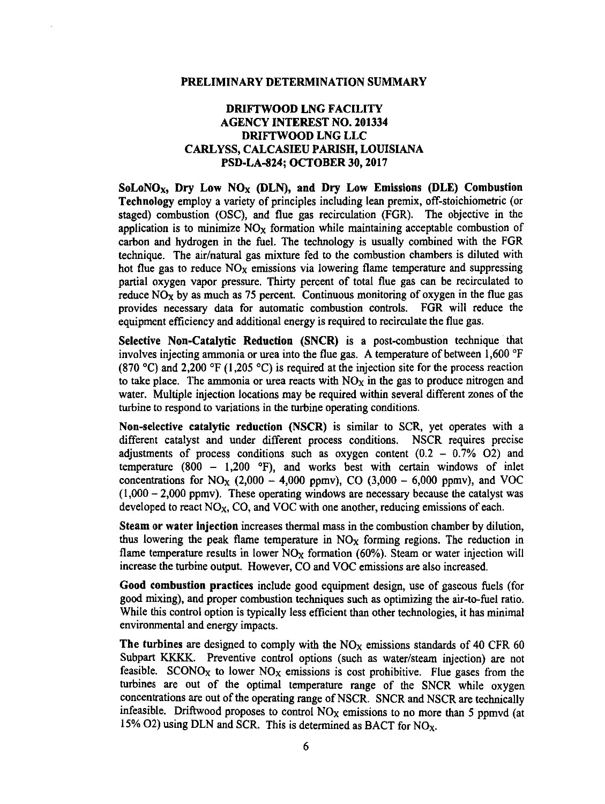# DRIFTWOOD LNG FACILITY AGENCY INTEREST NO. 201334 DRIFTWOOD LNG LLC CARLYSS, CALCASIEU PARISH, LOUISIANA PSD-LA-824; OCTOBER 30, 2017

SoLoNO<sub>x</sub>, Dry Low NO<sub>x</sub> (DLN), and Dry Low Emissions (DLE) Combustion Technology employ a variety of principles including lean premix, off-stoichiometric (or staged) combustion (OSC), and flue gas recirculation (FGR). The objective in the application is to minimize  $NO<sub>x</sub>$  formation while maintaining acceptable combustion of carbon and hydrogen in the fuel. The technology is usually combined with the FGR technique. The air/natural gas mixture fed to the combustion chambers is diluted with hot flue gas to reduce  $NO<sub>X</sub>$  emissions via lowering flame temperature and suppressing partial oxygen vapor pressure. Thirty percent of total flue gas can be recirculated to reduce  $NO<sub>x</sub>$  by as much as 75 percent. Continuous monitoring of oxygen in the flue gas provides necessary data for automatic combustion controls. FGR will reduce the equipment efficiency and additional energy is required to recirculate the flue gas.

Selective Non-Catalytic Reduction (SNCR) is a post-combustion technique that involves injecting ammonia or urea into the flue gas. A temperature of between 1,600 °F (870 °C) and 2,200 °F (1,205 °C) is required at the injection site for the process reaction to take place. The ammonia or urea reacts with  $NO<sub>X</sub>$  in the gas to produce nitrogen and water. Multiple injection locations may be required within several different zones of the turbine to respond to variations in the rurbine operating conditions.

Non-selective catalytic reduction (NSCR) is similar to SCR, yet operates with a different catalyst and under different process conditions. NSCR requires precise adjustments of process conditions such as oxygen content  $(0.2 - 0.7\% \text{ O2})$  and temperature (800 - 1,200 °F), and works best with certain windows of inlet concentrations for NO<sub>X</sub> (2,000 - 4,000 ppmv), CO (3,000 - 6,000 ppmv), and VOC  $(1,000 - 2,000$  ppmv). These operating windows are necessary because the catalyst was developed to react  $NO<sub>X</sub>$ , CO, and VOC with one another, reducing emissions of each.

Steam or water injection increases thermal mass in the combustion chamber by dilution, thus lowering the peak flame temperature in  $NO<sub>x</sub>$  forming regions. The reduction in flame temperature results in lower  $NO<sub>X</sub>$  formation (60%). Steam or water injection will increase the turbine output. However, CO and VOC emissions are also increased.

Good combustion practices include good equipment design, use of gaseous fuels (for good mixing), and proper combustion techniques such as optimizing the air-to-fuel ratio. While this control option is typically less efficient than other technologies, it has minimal environmental and energy impacts.

The turbines are designed to comply with the  $NO<sub>X</sub>$  emissions standards of 40 CFR 60 Subpart KKKK. Preventive control options (such as water/steam injection) are not feasible. SCONO<sub>X</sub> to lower NO<sub>X</sub> emissions is cost prohibitive. Flue gases from the turbines are out of the optimal temperature range of the SNCR while oxygen concentrations are out of the operating range of NSCR. SNCR and NSCR are technically infeasible. Driftwood proposes to control NOx emissions to no more than *5* ppmvd (at 15% O2) using DLN and SCR. This is determined as BACT for  $NO<sub>X</sub>$ .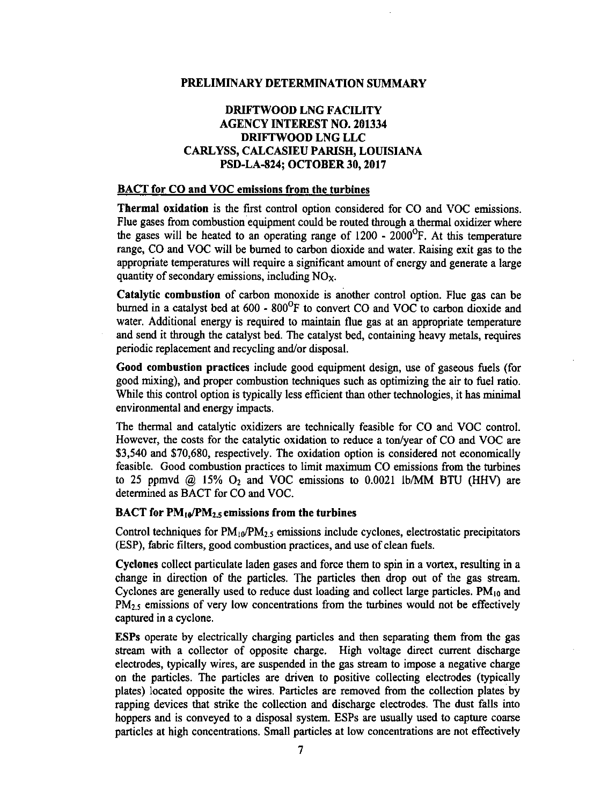# DRIFTWOOD LNG FACILITY AGENCY INTEREST NO. 201334 DRIFTWOOD LNG LLC CARLYSS, CALCASIEU PARISH, LOUISIANA PSD-LA-824; OCTOBER 30, 2017

# BACT for CO and VOC emissions from the turbines

Thermal oxidation is the first control option considered for CO and VOC emissions. Flue gases from combustion equipment could be routed through a thermal oxidizer where the gases will be heated to an operating range of  $1200 - 2000^{\circ}$ F. At this temperature range, CO and VOC will be burned to carbon dioxide and water. Raising exit gas to the appropriate temperatures will require a significant amount of energy and generate a large quantity of secondary emissions, including  $NO<sub>x</sub>$ .

Catalytic combustion of carbon monoxide is another control option. Flue gas can be burned in a catalyst bed at 600 - 800°F to convert CO and VOC to carbon dioxide and water. Additional energy is required to maintain flue gas at an appropriate temperature and send it through the catalyst bed. The catalyst bed, containing heavy metals, requires periodic replacement and recycling and/or disposal.

Good combustion practices include good equipment design, use of gaseous fuels (for good mixing), and proper combustion techniques such as optimizing the air to fuel ratio. While this control option is typically less efficient than other technologies, it has minimal environmental and energy impacts.

The thermal and catalytic oxidizers are technically feasible for CO and VOC control. However, the costs for the catalytic oxidation to reduce a ton/year of CO and VOC are \$3,540 and \$70,680, respectively. The oxidation option is considered not economically feasible. Good combustion practices to limit maximum CO emissions from the turbines to 25 ppmvd  $\omega$  15%  $O_2$  and VOC emissions to 0.0021 lb/MM BTU (HHV) are determined as BACT for CO and VOC.

### **BACT** for  $PM_{10}/PM_{25}$  emissions from the turbines

Control techniques for  $PM_{10}/PM_{2.5}$  emissions include cyclones, electrostatic precipitators (ESP), fabric filters, good combustion practices, and use of clean fuels.

Cyclones collect particulate laden gases and force them to spin in a vortex, resulting in a change in direction of the particles. The particles then drop out of the gas stream. Cyclones are generally used to reduce dust loading and collect large particles.  $PM_{10}$  and PM<sub>2.5</sub> emissions of very low concentrations from the turbines would not be effectively captured in a cyclone.

ESPs operate by electrically charging particles and then separating them from the gas stream with a collector of opposite charge. High voltage direct current discharge electrodes, typically wires, are suspended in the gas stream to impose a negative charge on the particles. The particles are driven to positive collecting electrodes (typically plates) located opposite the wires. Particles are removed from the collection plates by rapping devices that strike the collection and discharge electrodes. The dust falls into hoppers and is conveyed to a disposal system. ESPs are usually used to capture coarse particles at high concentrations. Small particles at low concentrations are not effectively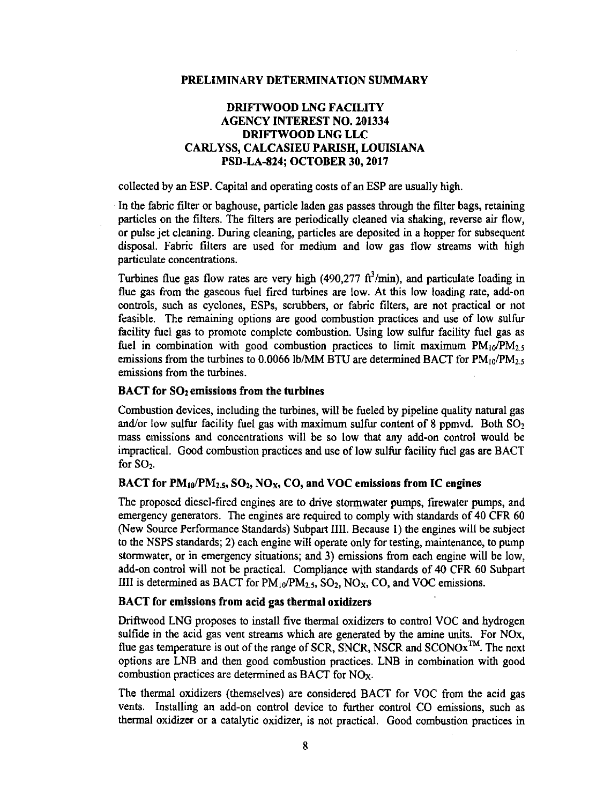# DRIFTWOOD LNG FACILITY AGENCY INTEREST NO. 201334 DRIFTWOOD LNG LLC CARLYSS, CALCASIEU PARISH, LOUISIANA PSD-LA-824; OCTOBER 30, 2017

collected by an ESP. Capital and operating costs of an ESP are usually high.

In the fabric filter or baghouse, particle laden gas passes through the filter bags, retaining particles on the filters. The filters are periodically cleaned via shaking, reverse air flow, or pulse jet cleaning. During cleaning, particles are deposited in a hopper for subsequent disposal. Fabric filters are used for medium and low gas flow streams with high particulate concentrations.

Turbines flue gas flow rates are very high (490,277  $\text{ft}^3/\text{min}$ ), and particulate loading in flue gas from the gaseous fuel fired turbines are low. At this low loading rate, add-on controls, such as cyclones, ESPs, scrubbers, or fabric filters, are not practical or not feasible. The remaining options are good combustion practices and use of low sulfur facility fuel gas to promote complete combustion. Using low sulfur facility fuel gas as fuel in combination with good combustion practices to limit maximum  $PM_{10}/PM_{2.5}$ emissions from the turbines to 0.0066 lb/MM BTU are determined BACT for  $PM_{10}/PM_{2.5}$ emissions from the turbines.

### $BACT$  for  $SO<sub>2</sub>$  emissions from the turbines

Combustion devices, including the turbines, will be fueled by pipeline quality natural gas and/or low sulfur facility fuel gas with maximum sulfur content of 8 ppmvd. Both  $SO_2$ mass emissions and concentrations will be so low that any add-on control would be impractical. Good combustion practices and use of low sulfur facility fuel gas are BACT for SO<sub>2</sub>.

# BACT for  $PM_{10}/PM_{2.5}$ ,  $SO_2$ ,  $NO_X$ ,  $CO$ , and  $VOC$  emissions from IC engines

The proposed diesel-fired engines are to drive stormwater pumps, frrewater pumps, and emergency generators. The engines are required to comply with standards of 40 CFR 60 (New Source Performance Standards) Subpart III!. Because 1) the engines will be subject to the NSPS standards; 2) each engine will operate only for testing, maintenance, to pump stormwater, or in emergency situations; and 3) emissions from each engine will be low, add-on control will not be practical. Compliance with standards of 40 CFR 60 Subpart IIII is determined as BACT for  $PM_{10}/PM_{2.5}$ , SO<sub>2</sub>, NO<sub>X</sub>, CO, and VOC emissions.

# BACT for emissions from acid gas thermal oxidizers

Driftwood LNG proposes to install five thermal oxidizers to control VOC and hydrogen sulfide in the acid gas vent streams which are generated by the amine units. For NOx, flue gas temperature is out of the range of SCR, SNCR, NSCR and SCONO $x^{TM}$ . The next options are LNB and then good combustion practices. LNB in combination with good combustion practices are determined as BACT for NOx.

The thermal oxidizers (themselves) are considered BACT for VOC from the acid gas vents. Installing an add-on control device to further control CO emissions, such as thermal oxidizer or a catalytic oxidizer, is not practical. Good combustion practices in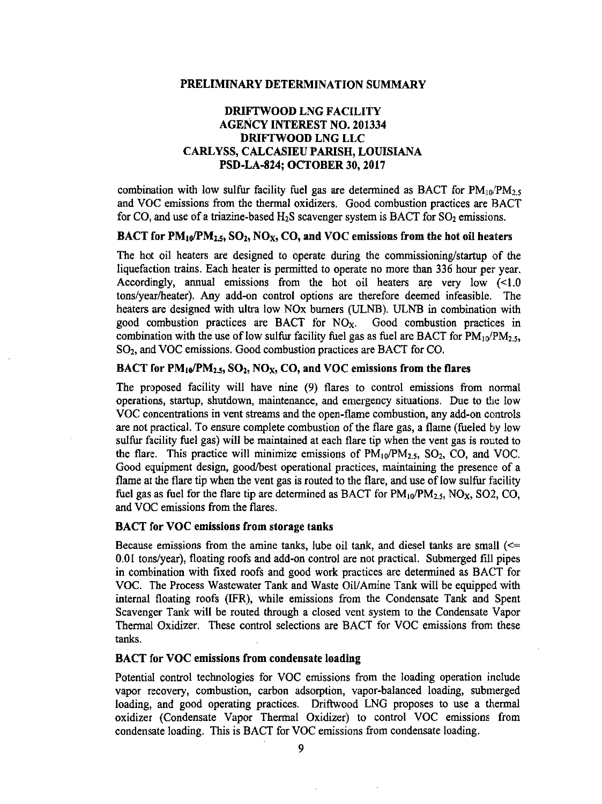# DRIFTWOOD LNG FACILITY AGENCY INTEREST NO. 201334 DRIFTWOOD LNG LLC CARL YSS, CALCASIEU PARISH, LOUISIANA PSD-LA-824; OCTOBER 30, 2017

combination with low sulfur facility fuel gas are determined as BACT for  $PM_{10}/PM_{2.5}$ and VOC emissions from the thermal oxidizers. Good combustion practices are BACT for CO, and use of a triazine-based  $H_2S$  scavenger system is BACT for SO<sub>2</sub> emissions.

### BACT for  $PM_{10}/PM_{2.5}$ ,  $SO_2$ ,  $NO_X$ ,  $CO$ , and  $VOC$  emissions from the hot oil heaters

The hot oil heaters are designed to operate during the commissioning/startup of the liquefaction trains. Each heater is permitted to operate no more than 336 hour per year. Accordingly, annual emissions from the hot oil heaters are very low (<1.0 tons/year/heater). Any add-on control options are therefore deemed infeasible. The heaters are designed with ultra low NOx burners (ULNB). ULNB in combination with good combustion practices are BACT for  $NO<sub>X</sub>$ . Good combustion practices in combination with the use of low sulfur facility fuel gas as fuel are BACT for  $PM_{10}/PM_{2.5}$ , S02, and VOC emissions. Good combustion practices are BACT for CO.

# BACT for  $PM_{10}/PM_{2.5}$ ,  $SO_2$ ,  $NO_X$ ,  $CO$ , and  $VOC$  emissions from the flares

The proposed facility will have nine (9) flares to control emissions from normal operations, startup, shutdown, maintenance, and emergency situations. Due to the low VOC concentrations in vent streams and the open-flame combustion, any add-on controls are not practical. To ensure complete combustion of the flare gas, a flame (fueled by low sulfur facility fuel gas) will be maintained at each flare tip when the vent gas is routed to the flare. This practice will minimize emissions of  $PM_{10}/PM_{2.5}$ ,  $SO_2$ ,  $CO$ , and VOC. Good equipment design, good/best operational practices, maintaining the presence of a flame at the flare tip when the vent gas is routed to the flare, and use of low sulfur facility fuel gas as fuel for the flare tip are determined as BACT for  $PM_{10}/PM_{2.5}$ , NO<sub>X</sub>, SO2, CO, and VOC emissions from the flares.

# BACT for VOC emissions from storage tanks

Because emissions from the amine tanks, lube oil tank, and diesel tanks are small  $\ll =$ 0.01 tons/year), floating roofs and add-on control are not practical. Submerged fill pipes in combination with fixed roofs and good work practices are determined as BACT for VOC. The Process Wastewater Tank and Waste Oil/Amine Tank will be equipped with internal floating roofs (IFR), while emissions from the Condensate Tank and Spent Scavenger Tank will be routed through a closed vent system to the Condensate Vapor Thermal Oxidizer. These control selections are BACT for VOC emissions from these tanks.

# BACT for VOC emissions from condensate loading

Potential control technologies for VOC emissions from the loading operation include vapor recovery, combustion, carbon adsorption, vapor-balanced loading, submerged loading, and good operating practices. Driftwood LNG proposes to use a thermal oxidizer (Condensate Vapor Thermal Oxidizer) to control VOC emissions from condensate loading. This is BACT for VOC emissions from condensate loading.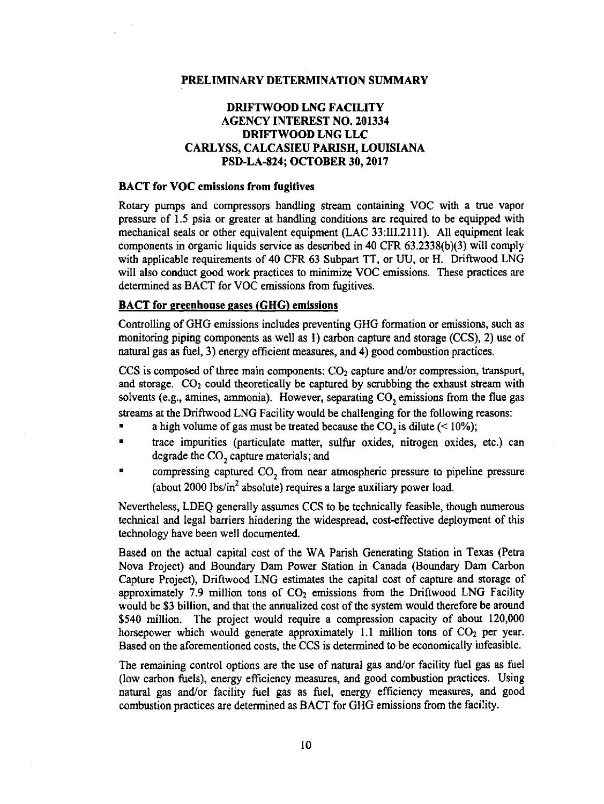# DRIFTWOOD LNG FACILITY AGENCY INTEREST NO. 201334 DRIFTWOOD LNG LLC CARLYSS, CALCASIEU PARISH, LOUISIANA PSD-LA-824; OCTOBER30, 2017

# BACT for VOC emissions from fugitives

Rotary pumps and compressors handling stream containing VOC with a true vapor pressure of 1.5 psia or greater at handling conditions are required to be equipped with mechanical seals or other equivalent equipment (LAC 33:111.2111). All equipment leak components in organic liquids service as described in 40 CFR 63.2338(b)(3) will comply with applicable requirements of 40 CFR 63 Subpart TT, or UU, or H. Driftwood LNG will also conduct good work practices to minimize VOC emissions. These practices are determined as BACT for VOC emissions from fugitives.

### BACT for greenhouse gases (GHG) emissions

Controlling of GHG emissions includes preventing GHG formation or emissions, such as monitoring piping components as well as I) carbon capture and storage (CCS), 2) use of natural gas as fuel, 3) energy efficient measures, and 4) good combustion practices.

CCS is composed of three main components:  $CO<sub>2</sub>$  capture and/or compression, transport, and storage.  $CO<sub>2</sub>$  could theoretically be captured by scrubbing the exhaust stream with solvents (e.g., amines, ammonia). However, separating CO, emissions from the flue gas streams at the Driftwood LNG Facility would be challenging for the following reasons:

- a high volume of gas must be treated because the  $CO<sub>2</sub>$  is dilute (< 10%);
- trace impurities (particulate matter, sulfur oxides, nitrogen oxides, etc.) can degrade the  $CO<sub>2</sub>$  capture materials; and
- compressing captured CO<sub>2</sub> from near atmospheric pressure to pipeline pressure (about 2000 lbs/in<sup>2</sup> absolute) requires a large auxiliary power load.

Nevertheless, LDEQ generally assumes CCS to be technically feasible, though numerous technical and legal barriers hindering the widespread, cost-effective deployment of this technology have been well documented.

Based on the actual capital cost of the WA Parish Generating Station in Texas (Petra Nova Project) and Boundary Dam Power Station in Canada (Boundary Dam Carbon Capture Project), Driftwood LNG estimates the capital cost of capture and storage of approximately 7.9 million tons of  $CO<sub>2</sub>$  emissions from the Driftwood LNG Facility would be \$3 billion, and that the annualized cost of the system would therefore be around \$540 million. The project would require a compression capacity of about 120,000 horsepower which would generate approximately 1.1 million tons of  $CO<sub>2</sub>$  per year. Based on the aforementioned costs, the CCS is determined to be economically infeasible.

The remaining control options are the use of natural gas and/or facility fuel gas as fuel (low carbon fuels), energy efficiency measures, and good combustion practices. Using natural gas and/or facility fuel gas as fuel, energy efficiency measures, and good combustion practices are determined as BACT for GHG emissions from the facility.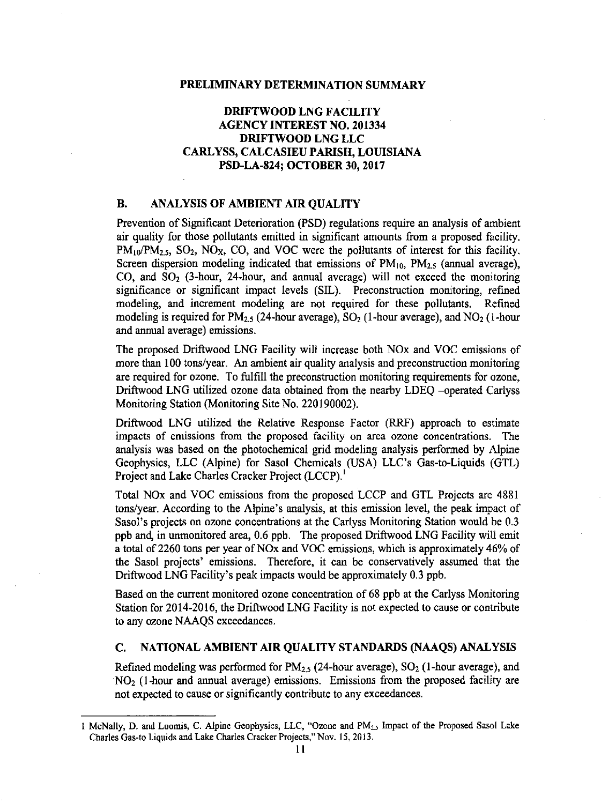# DRIFTWOOD LNG FACILITY AGENCY INTEREST NO. 201334 DRIFTWOOD LNG LLC CARLYSS, CALCASIEU PARISH, LOUISIANA PSD-LA-824; OCTOBER 30, 2017

# B. ANALYSIS OF AMBIENT AIR OUALITY

Prevention of Significant Deterioration (PSD) regulations require an analysis of ambient air quality for those pollutants emitted in significant amounts from a proposed facility.  $PM_{10}/PM_{2.5}$ ,  $SO_2$ ,  $NO_X$ ,  $CO$ , and  $VOC$  were the pollutants of interest for this facility. Screen dispersion modeling indicated that emissions of  $PM_{10}$ ,  $PM_{2.5}$  (annual average), CO, and  $SO<sub>2</sub>$  (3-hour, 24-hour, and annual average) will not exceed the monitoring significance or significant impact levels (SIL). Preconstruction monitoring, refined modeling, and increment modeling are not required for these pollutants. Refined modeling is required for  $PM_{2.5}$  (24-hour average), SO<sub>2</sub> (1-hour average), and NO<sub>2</sub> (1-hour and annual average) emissions.

The proposed Driftwood LNG Facility will increase both NOx and VOC emissions of more than 100 tons/year. An ambient air quality analysis and preconstruction monitoring are required for ozone. To fulfill the preconstruction monitoring requirements for ozone, Driftwood LNG utilized ozone data obtained from the nearby LDEQ --operated Carlyss Monitoring Station (Monitoring Site No. 220190002).

Driftwood LNG utilized the Relative Response Factor (RRF) approach to estimate impacts of emissions from the proposed facility on area ozone concentrations. The analysis was based on the photochemical grid modeling analysis performed by Alpine Geophysics, LLC (Alpine) for Sasol Chemicals (USA) LLC's Gas-to-Liquids (GTL) Project and Lake Charles Cracker Project (LCCP).<sup>1</sup>

Total NOx and VOC emissions from the proposed LCCP and GTL Projects are 4881 tons/year. According to the Alpine's analysis, at this emission level, the peak impact of Sasol's projects on ozone concentrations at the Carlyss Monitoring Station would be 0.3 ppb and, in unmonitored area, 0.6 ppb. The proposed Driftwood LNG Facility will emit a total of 2260 tons per year ofNOx and VOC emissions, which is approximately 46% of the Sasol projects' emissions. Therefore, it can be conservatively assumed that the Driftwood LNG Facility's peak impacts would be approximately 0.3 ppb.

Based on the current monitored ozone concentration of 68 ppb at the Carlyss Monitoring Station for 2014-2016, the Driftwood LNG Facility is not expected to cause or contribute to any ozone NAAQS exceedances.

### C. NATIONAL AMBIENT AIR QUALITY STANDARDS (NAAQS) ANALYSIS

Refined modeling was performed for  $PM_{2.5}$  (24-hour average), SO<sub>2</sub> (1-hour average), and  $NO<sub>2</sub>$  (1-hour and annual average) emissions. Emissions from the proposed facility are not expected to cause or significantly contribute to any exceedances.

<sup>1</sup> McNally, D. and Loomis, C. Alpine Geophysics, LLC, "Ozone and PM,\_, Impact of the Proposed Sasol Lake Charles Gas-to Liquids and Lake Charles Cracker Projects," Nov. 15, 2013.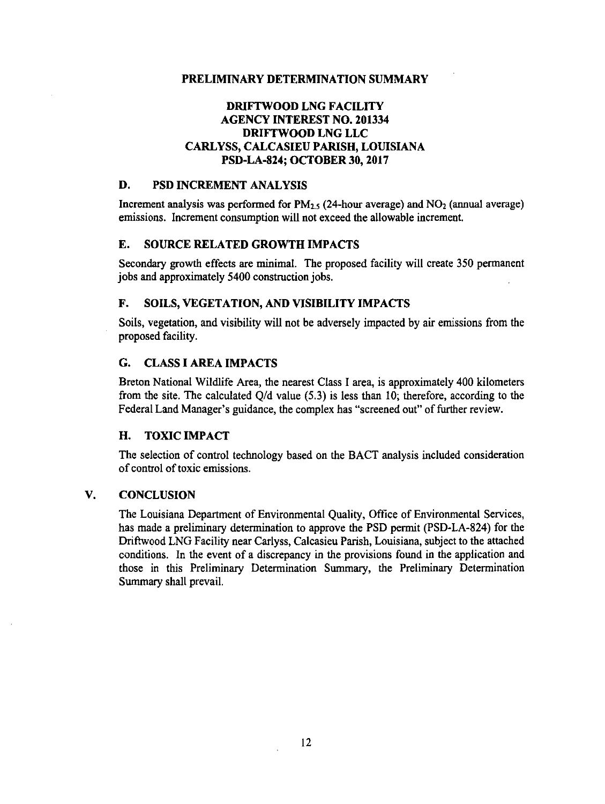# **DRIFTWOOD LNG FACILITY AGENCY INTEREST NO. 201334 DRIFTWOOD LNG LLC CARLYSS, CALCASIEU PARISH, LOUISIANA PSD-LA-824; OCTOBER JO, 2017**

### **D. PSD INCREMENT ANALYSIS**

Increment analysis was performed for  $PM_{2.5}$  (24-hour average) and  $NO_2$  (annual average) emissions. Increment consumption will not exceed the allowable increment.

### **E. SOURCE RELATED GROWTH IMPACTS**

Secondary growth effects are minimal. The proposed facility will create 350 permanent jobs and approximately 5400 construction jobs.

# **F. SOILS, VEGETATION, AND VISIBILITY IMPACTS**

Soils, vegetation, and visibility will not be adversely impacted by air emissions from the proposed facility.

# **G. CLASSIAREAIMPACTS**

Breton National Wildlife Area, the nearest Class I area, is approximately 400 kilometers from the site. The calculated Q/d value (5.3) is less than 10; therefore, according to the Federal Land Manager's guidance, the complex has "screened out" of further review.

### **H. TOXIC IMPACT**

The selection of control technology based on the BACT analysis included consideration of control of toxic emissions.

### **V. CONCLUSION**

The Louisiana Department of Environmental Quality, Office of Environmental Services, has made a preliminary determination to approve the PSD permit (PSD-LA-824) for the Driftwood LNG Facility near Carlyss, Calcasieu Parish, Louisiana, subject to the attached conditions. In the event of a discrepancy in the provisions found in the application and those in this Preliminary Determination Summary, the Preliminary Determination Summary shall prevail.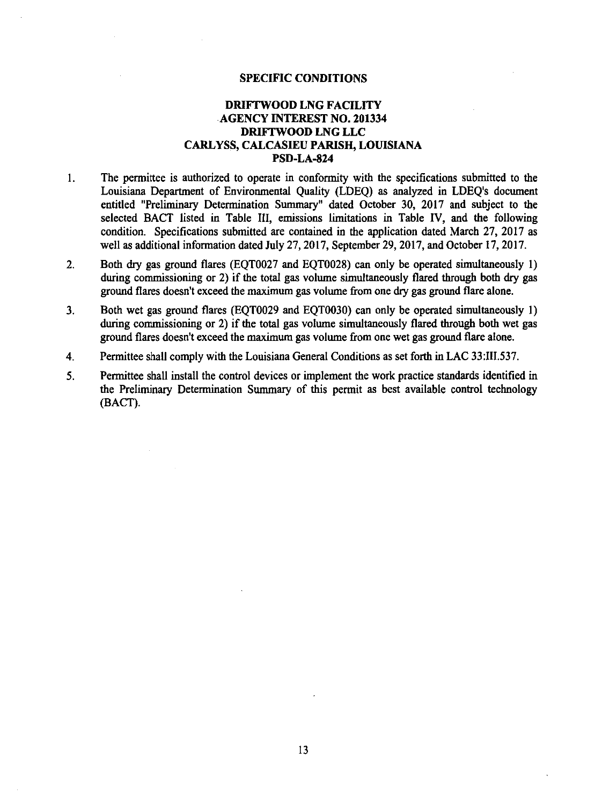### SPECIFIC CONDITIONS

# DRIFI'WOOD LNG FACILITY AGENCY INTEREST NO. 201334 DRIFI'WOOD LNG LLC CARL YSS, CALCASIEU PARISH, LOUISIANA PSD-LA-824

- I. The permittee is authorized to operate in conformity with the specifications submitted to the Louisiana Department of Environmental Quality (LDEQ) as analyzed in LDEQ's document entitled "Preliminary Determination Summary" dated October 30, 2017 and subject to the selected BACT listed in Table III, emissions limitations in Table IV, and the following condition. Specifications submitted are contained in the application dated March 27, 2017 as well as additional information dated July 27, 2017, September 29, 2017, and October 17, 2017.
- 2. Both dry gas ground flares (EQT0027 and EQT0028) can only be operated simultaneously 1) during commissioning or 2) if the total gas volume simultaneously flared through both dry gas ground flares doesn't exceed the maximum gas volume from one dry gas ground flare alone.
- 3. Both wet gas ground flares (EQT0029 and EQT0030) can only be operated simultaneously 1) during commissioning or 2) if the total gas volume simultaneously flared through both wet gas ground flares doesn't exceed the maximum gas volume from one wet gas ground flare alone.
- 4. Permittee shall comply with the Louisiana General Conditions as set forth in LAC 33:III.537.
- *5.* Permittee shall install the control devices or implement the work practice standards identified in the Preliminary Determination Summary of this permit as best available control technology (BACT).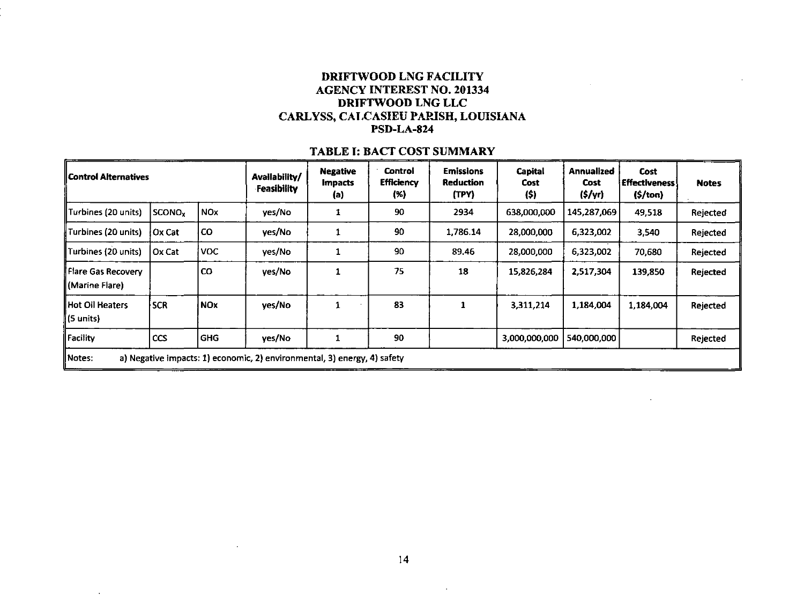# DRIFTWOOD LNG FACILITY AGENCY INTEREST NO. 201334 DRIFTWOOD LNG LLC CARLYSS, CALCASIEU PAPJSH, LOUISIANA PSD-LA-824

#### Control Alternatives  $Turbines (20 units)$  SCONO<sub>x</sub> NO<sub>x</sub> Turbines (20 units)  $\int$  Ox Cat  $\int$  CO  $T$ urbines (20 units)  $\int$  Ox Cat  $\int$  VOC **Flare Gas Recovery | CO** (Marine Flare)  $Hot$  Oil Heaters  $SCR$  NOx (S units) Facility  $|CCS|$  GHG Avallability/ Negative Control **Emissions** Capital  $\begin{array}{c|c|c|c|c} \text{F} & \text{Impects} & \text{Efficiency} & \text{Reduction} & \text{Cost} \ \text{F} & \text{G} & \text{G} & \text{G} \end{array}$ (a) (%) (TPY) (\$) yes/No 1 90 2934 638,000,000 yes/No 1 90 1,786.14 28,000,000 yes/No | 1 | 90 | 89.46 | 28,000,000 ves/No | 1 | 75 | 18 | 15,826,284  $yes/No$  1 83 1 3,311,214 yes/No 1 90 3,000,000,000 540,000,000 Rejected Notes: a) Negative impacts: 1) economic, 2) environmental, 3) energy, 4) safety Annualized Cost Cost Effectiveness! Notes (\$/yr) (\$/ton) 145,287,069 49,518 Rejected 6,323,002 3,540 Rejected 6,323,002 70,680 Rejected 2,517,304 | 139,850 | Rejected 1,184,004 1,184,004 Rejected

### TABLE I: BACT COST SUMMARY

 $\mathcal{L}$ 

 $\mathcal{L}$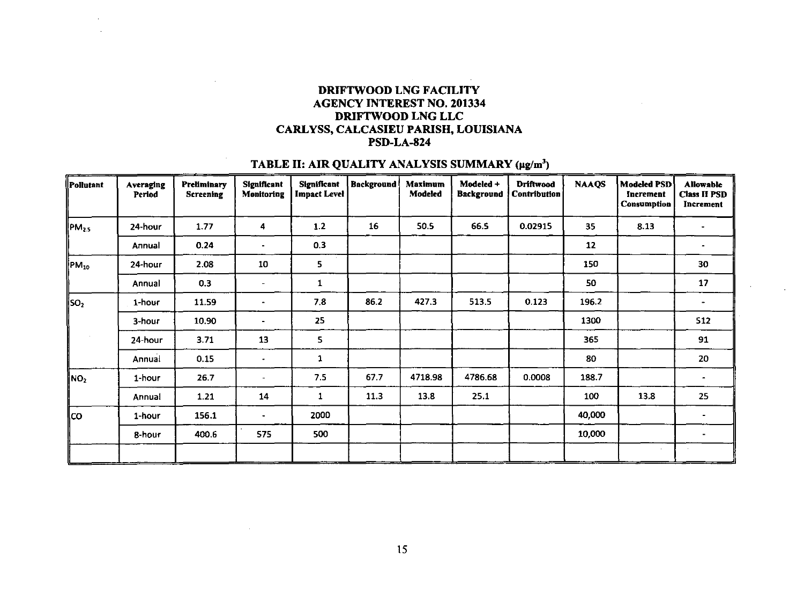# DRIFTWOOD LNG FACILITY AGENCY INTEREST NO. 201334 DRIFTWOOD LNG LLC CARLYSS, CALCASIEU PARISH, LOUISIANA PSD-LA-824

# TABLE II: AIR QUALITY ANALYSIS SUMMARY (µg/m<sup>3</sup>)

| Pollutant                   | Averaging<br>Period | Preliminary<br><b>Screening</b> | <b>Significant</b><br>Monitoring | <b>Significant</b><br><b>Impact Level</b> | Background | <b>Maximum</b><br>Modeled | Modeled +<br><b>Background</b> | <b>Driftwood</b><br>Contribution | <b>NAAQS</b> | <b>Modeled PSD</b><br>Increment<br>Consumption | <b>Allowable</b><br><b>Class II PSD</b><br>Increment |
|-----------------------------|---------------------|---------------------------------|----------------------------------|-------------------------------------------|------------|---------------------------|--------------------------------|----------------------------------|--------------|------------------------------------------------|------------------------------------------------------|
| $PM_{2.5}$                  | 24-hour             | 1.77                            | 4                                | 1.2                                       | 16         | 50.5                      | 66.5                           | 0.02915                          | 35           | 8.13                                           |                                                      |
|                             | Annual              | 0.24                            |                                  | 0.3                                       |            |                           |                                |                                  | 12           |                                                |                                                      |
| PM <sub>10</sub>            | 24-hour             | 2.08                            | 10                               | 5                                         |            |                           |                                |                                  | 150          |                                                | 30                                                   |
|                             | Annual              | 0.3                             | ۰                                | 1                                         |            |                           |                                |                                  | 50           |                                                | 17                                                   |
| ∥so <sub>2</sub>            | 1-hour              | 11.59                           | ۰                                | 7.8                                       | 86.2       | 427.3                     | 513.5                          | 0.123                            | 196.2        |                                                |                                                      |
|                             | 3-hour              | 10.90                           |                                  | 25                                        |            |                           |                                |                                  | 1300         |                                                | 512                                                  |
|                             | 24-hour             | 3.71                            | 13                               | 5                                         |            |                           |                                |                                  | 365          |                                                | 91                                                   |
|                             | Annual              | 0.15                            |                                  | 1                                         |            |                           |                                |                                  | 80           |                                                | 20                                                   |
| $\parallel$ NO <sub>2</sub> | 1-hour              | 26.7                            |                                  | 7.5                                       | 67.7       | 4718.98                   | 4786.68                        | 0.0008                           | 188.7        |                                                | $\overline{\phantom{0}}$                             |
|                             | Annual              | 1.21                            | 14                               | $\mathbf{1}$                              | 11.3       | 13.8                      | 25.1                           |                                  | 100          | 13.8                                           | 25                                                   |
| lco.                        | 1-hour              | 156.1                           |                                  | 2000                                      |            |                           |                                |                                  | 40,000       |                                                |                                                      |
|                             | 8-hour              | 400.6                           | 575                              | 500                                       |            |                           |                                |                                  | 10,000       |                                                |                                                      |
|                             |                     |                                 |                                  |                                           |            |                           |                                |                                  |              |                                                |                                                      |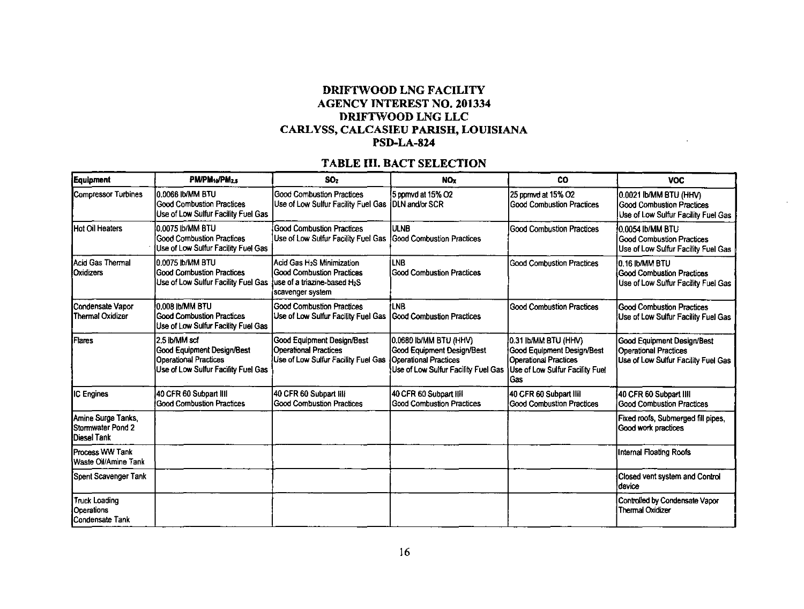# DRIFTWOOD LNG FACILITY AGENCY INTEREST NO. 201334 DRIFTIVOOD LNG LLC CARLYSS, CALCASIEU PARISH, LOUISIANA PSD-LA-824

# TABLE III. BACT SELECTION

| Equipment                                                     | PM/PM1o/PM2.5                                                                                                             | SO <sub>2</sub>                                                                                                                | <b>NO<sub>x</sub></b>                                                                                                       | <b>CO</b>                                                                                                                    | <b>VOC</b>                                                                                               |  |  |
|---------------------------------------------------------------|---------------------------------------------------------------------------------------------------------------------------|--------------------------------------------------------------------------------------------------------------------------------|-----------------------------------------------------------------------------------------------------------------------------|------------------------------------------------------------------------------------------------------------------------------|----------------------------------------------------------------------------------------------------------|--|--|
| <b>Compressor Turbines</b>                                    | UT8 MM\di 8300.01<br><b>Good Combustion Practices</b><br>Use of Low Sulfur Facility Fuel Gas                              | Good Combustion Practices<br>Use of Low Sulfur Facility Fuel Gas DLN and/or SCR                                                | 5 ppmvd at 15% O2                                                                                                           | 25 ppmvd at 15% O2<br><b>Good Combustion Practices</b>                                                                       | 0.0021 Ib/MM BTU (HHV)<br>Good Combustion Practices<br>Use of Low Sulfur Facility Fuel Gas               |  |  |
| Hot Oil Heaters                                               | 0.0075 Ib/MM BTU<br><b>Good Combustion Practices</b><br>Use of Low Sulfur Facility Fuel Gas                               | Good Combustion Practices<br>Use of Low Sulfur Facility Fuel Gas   Good Combustion Practices                                   | Iulnb                                                                                                                       | <b>Good Combustion Practices</b>                                                                                             | 0.0054 Ib/MM BTU<br><b>Good Combustion Practices</b><br>Use of Low Sulfur Facility Fuel Gas              |  |  |
| Acid Gas Thermal<br><b>I</b> Oxidizers                        | 0.0075 Ib/MM BTU<br><b>Good Combustion Practices</b><br>Use of Low Sulfur Facility Fuel Gas                               | Acid Gas H <sub>2</sub> S Minimization<br><b>Good Combustion Practices</b><br>luse of a triazine-based H2S<br>scavenger system | İLNB<br><b>IGood Combustion Practices</b>                                                                                   | <b>Good Combustion Practices</b>                                                                                             | 10 16 Ib/MM BTU<br>Good Combustion Practices<br>Use of Low Sulfur Facility Fuel Gas                      |  |  |
| Condensate Vapor<br>Thermal Oxidizer                          | 0.008 Ib/MM BTU<br><b>Good Combustion Practices</b><br>Use of Low Sulfur Facility Fuel Gas                                | <b>Good Combustion Practices</b><br>Use of Low Sulfur Facility Fuel Gas                                                        | <b>ILNB</b><br>Good Combustion Practices                                                                                    | <b>Good Combustion Practices</b>                                                                                             | <b>Good Combustion Practices</b><br>Use of Low Sulfur Facility Fuel Gas                                  |  |  |
| Flares                                                        | 2.5 Ib/MM scf<br><b>Good Equipment Design/Best</b><br><b>Operational Practices</b><br>Use of Low Sulfur Facility Fuel Gas | <b>Good Equipment Design/Best</b><br>Operational Practices<br>Use of Low Sulfur Facility Fuel Gas                              | 0.0680 Ib/MM BTU (HHV)<br>Good Equipment Design/Best<br><b>Operational Practices</b><br>Use of Low Sulfur Facility Fuel Gas | 0.31 Ib/MM BTU (HHV)<br>Good Equipment Design/Best<br><b>Operational Practices</b><br>Use of Low Sulfur Facility Fuel<br>Gas | <b>Good Equipment Design/Best</b><br><b>Operational Practices</b><br>Use of Low Sulfur Facility Fuel Gas |  |  |
| IC Engines                                                    | 40 CFR 60 Subpart IIII<br><b>Good Combustion Practices</b>                                                                | 40 CFR 60 Subpart IIII<br>Good Combustion Practices                                                                            | 40 CFR 60 Subpart Hill<br>Good Combustion Practices                                                                         | 40 CFR 60 Subpart IIII<br><b>Good Combustion Practices</b>                                                                   | 40 CFR 60 Subpart IIII<br><b>Good Combustion Practices</b>                                               |  |  |
| Amine Surge Tanks,<br>Stormwater Pond 2<br><b>Diesel Tank</b> |                                                                                                                           |                                                                                                                                |                                                                                                                             |                                                                                                                              | Fixed roofs, Submerged fill pipes,<br>Good work practices                                                |  |  |
| <b>Process WW Tank</b><br>Waste Oil/Amine Tank                |                                                                                                                           |                                                                                                                                |                                                                                                                             |                                                                                                                              | Internal Floating Roofs                                                                                  |  |  |
| Spent Scavenger Tank                                          |                                                                                                                           |                                                                                                                                |                                                                                                                             |                                                                                                                              | Closed vent system and Control<br>device                                                                 |  |  |
| <b>Truck Loading</b><br>Operations<br>Condensate Tank         |                                                                                                                           |                                                                                                                                |                                                                                                                             |                                                                                                                              | Controlled by Condensate Vapor<br><b>Thermal Oxidizer</b>                                                |  |  |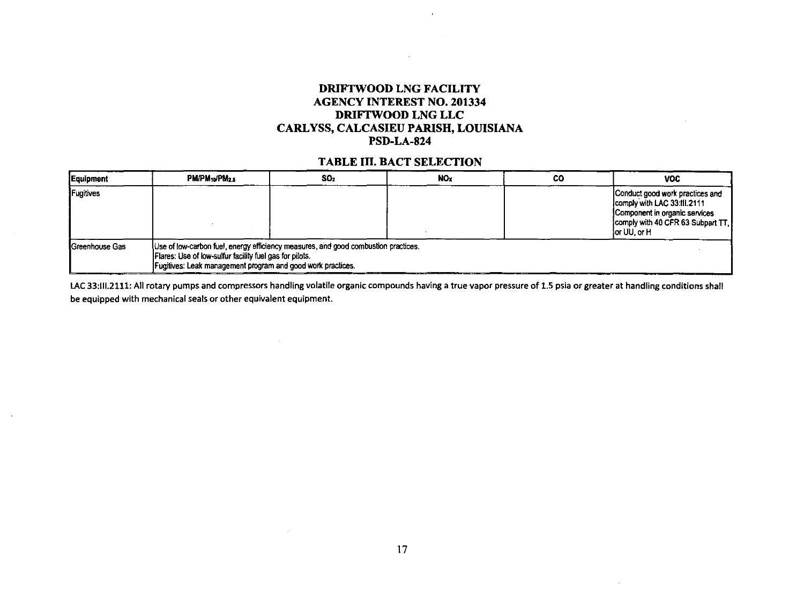# DRIFTWOOD LNG FACILITY AGENCY INTEREST NO. 201334 DRIFTWOOD LNG LLC CARL YSS, CALCASIEU PARISH, LOUISIANA PSD-LA-824

 $\mathbf{r}$ 

# TABLE III. BACT SELECTION

| Equipment              | <b>PM/PM:</b> <sub>b</sub> /PM <sub>2.5</sub>                                                                                                                                                                | SO <sub>2</sub> | <b>NO</b> | CO | <b>VOC</b>                                                                                                                                            |
|------------------------|--------------------------------------------------------------------------------------------------------------------------------------------------------------------------------------------------------------|-----------------|-----------|----|-------------------------------------------------------------------------------------------------------------------------------------------------------|
| Fugitives              |                                                                                                                                                                                                              |                 |           |    | Conduct good work practices and<br>Icomply with LAC 33:III.2111<br>Component in organic services<br>comply with 40 CFR 63 Subpart TT,<br>lor UU, or H |
| <b>IGreenhouse Gas</b> | Use of low-carbon fuel, energy efficiency measures, and good combustion practices.<br>Flares: Use of low-sulfur facility fuel gas for pilots.<br>Fugitives: Leak management program and good work practices. |                 |           |    |                                                                                                                                                       |

LAC 33:III.2111: All rotary pumps and compressors handling volatile organic compounds having a true vapor pressure of 1.5 psia or greater at handling conditions shall be equipped with mechanical seals or other equivalent equipment.

 $\mathcal{L}$ 

 $\sim$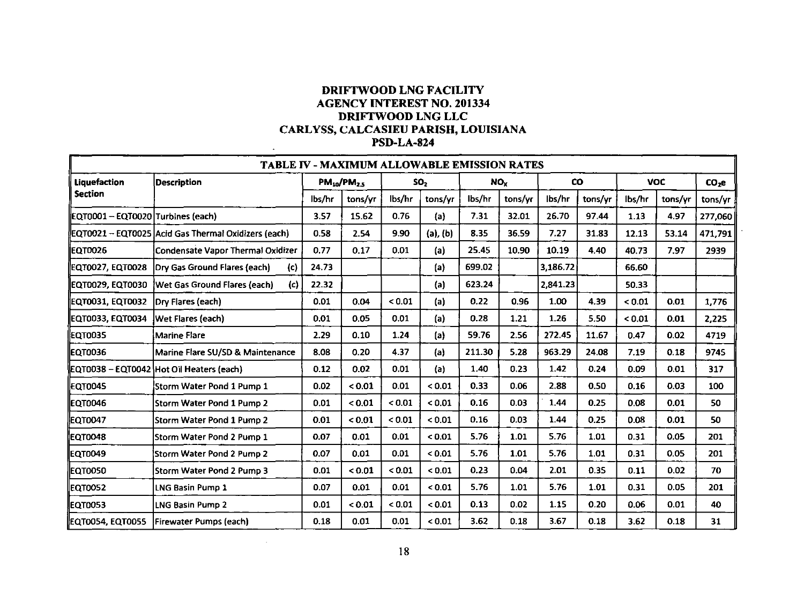# DRIFTWOOD LNG FACILITY AGENCY INTEREST NO. 201334 DRIFTWOOD LNG LLC CARLYSS, CALCASIEU PARISH, LOUISIANA PSD-LA-824

|                                   | <b>TABLE IV - MAXIMUM ALLOWABLE EMISSION RATES</b>  |        |                    |        |                 |                 |         |           |         |            |         |                   |  |  |
|-----------------------------------|-----------------------------------------------------|--------|--------------------|--------|-----------------|-----------------|---------|-----------|---------|------------|---------|-------------------|--|--|
| <b>Liquefaction</b>               | <b>Description</b>                                  |        | $PM_{10}/PM_{2.5}$ |        | SO <sub>2</sub> | NO <sub>x</sub> |         | <b>CO</b> |         | <b>VOC</b> |         | CO <sub>2</sub> e |  |  |
| Section                           |                                                     | lbs/hr | tons/yr            | lbs/hr | tons/yr         | lbs/hr          | tons/yr | lbs/hr    | tons/yr | lbs/hr     | tons/yr | tons/yr           |  |  |
| EQT0001 - EQT0020 Turbines (each) |                                                     | 3.57   | 15.62              | 0.76   | (a)             | 7.31            | 32.01   | 26.70     | 97 44   | 1.13       | 4,97    | 277,060           |  |  |
|                                   | EQT0021 - EQT0025 Acid Gas Thermal Oxidizers (each) | 0.58   | 2.54               | 9.90   | $(a)$ , $(b)$   | 8.35            | 36.59   | 7.27      | 31.83   | 12.13      | 53.14   | 471,791           |  |  |
| <b>IEQT0026</b>                   | Condensate Vapor Thermal Oxidizer                   | 0.77   | 0.17               | 0.01   | (a)             | 25.45           | 10.90   | 10.19     | 4.40    | 40.73      | 7.97    | 2939              |  |  |
| ΕQT0027, ΕQT0028                  | Dry Gas Ground Flares (each)<br>(c)                 | 24.73  |                    |        | (a)             | 699.02          |         | 3,186.72  |         | 66.60      |         |                   |  |  |
| ΕQT0029, ΕQT0030                  | Wet Gas Ground Flares (each)<br>(c)                 | 22.32  |                    |        | (a)             | 623.24          |         | 2,841.23  |         | 50.33      |         |                   |  |  |
| EQT0031, EQT0032                  | <b>IDry Flares (each)</b>                           | 0.01   | 0.04               | < 0.01 | (a)             | 0.22            | 0.96    | 1.00      | 4.39    | < 0.01     | 0.01    | 1,776             |  |  |
| ΕQT0033, ΕQT0034                  | <b>Wet Flares (each)</b>                            | 0.01   | 0.05               | 0.01   | (a)             | 0.28            | 1.21    | 1.26      | 5.50    | 0.01       | 0.01    | 2,225             |  |  |
| <b>EQT0035</b>                    | <b>Marine Flare</b>                                 | 2.29   | 0.10               | 1.24   | (a)             | 59.76           | 2.56    | 272.45    | 11.67   | 0.47       | 0.02    | 4719              |  |  |
| <b>EQT0036</b>                    | Marine Flare SU/SD & Maintenance                    | 8.08   | 0.20               | 4.37   | (a)             | 211.30          | 5.28    | 963.29    | 24.08   | 7.19       | 0.18    | 9745              |  |  |
|                                   | EQT0038 - EQT0042 Hot Oil Heaters (each)            | 0.12   | 0.02               | 0.01   | (a)             | 1.40            | 0.23    | 1.42      | 0.24    | 0.09       | 0.01    | 317               |  |  |
| EQT0045                           | Storm Water Pond 1 Pump 1                           | 0.02   | 0.01               | 0.01   | < 0.01          | 0.33            | 0.06    | 2.88      | 0.50    | 0.16       | 0.03    | 100               |  |  |
| <b>EQT0046</b>                    | <b>Storm Water Pond 1 Pump 2</b>                    | 0.01   | < 0.01             | < 0.01 | < 0.01          | 0.16            | 0.03    | 1.44      | 0.25    | 0.08       | 0.01    | 50                |  |  |
| EQT0047                           | Storm Water Pond 1 Pump 2                           | 0.01   | < 0.01             | < 0.01 | < 0.01          | 0.16            | 0.03    | 1.44      | 0.25    | 0.08       | 0.01    | 50                |  |  |
| EQT0048                           | Storm Water Pond 2 Pump 1                           | 0.07   | 0.01               | 0.01   | 0.01            | 5.76            | 1.01    | 5.76      | 1.01    | 0.31       | 0.05    | 201               |  |  |
| <b>EQT0049</b>                    | Storm Water Pond 2 Pump 2                           | 0.07   | 0.01               | 0.01   | 0.01            | 5.76            | 1.01    | 5.76      | 1.01    | 0.31       | 0.05    | 201               |  |  |
| EQT0050                           | Storm Water Pond 2 Pump 3                           | 0.01   | 0.01               | < 0.01 | < 0.01          | 0.23            | 0.04    | 2.01      | 0.35    | 0.11       | 0.02    | 70                |  |  |
| EQT0052                           | LNG Basin Pump 1                                    | 0.07   | 0.01               | 0.01   | 0.01            | 5.76            | 1.01    | 5.76      | 1.01    | 0.31       | 0.05    | 201               |  |  |
| <b>EQT0053</b>                    | <b>LNG Basin Pump 2</b>                             | 0.01   | < 0.01             | < 0.01 | < 0.01          | 0.13            | 0.02    | 1.15      | 0.20    | 0.06       | 0.01    | 40                |  |  |
| ΕQT0054, ΕQT0055                  | <b>Firewater Pumps (each)</b>                       | 0.18   | 0.01               | 0.01   | < 0.01          | 3.62            | 0.18    | 3.67      | 0.18    | 3.62       | 0.18    | 31                |  |  |

 $\sim$